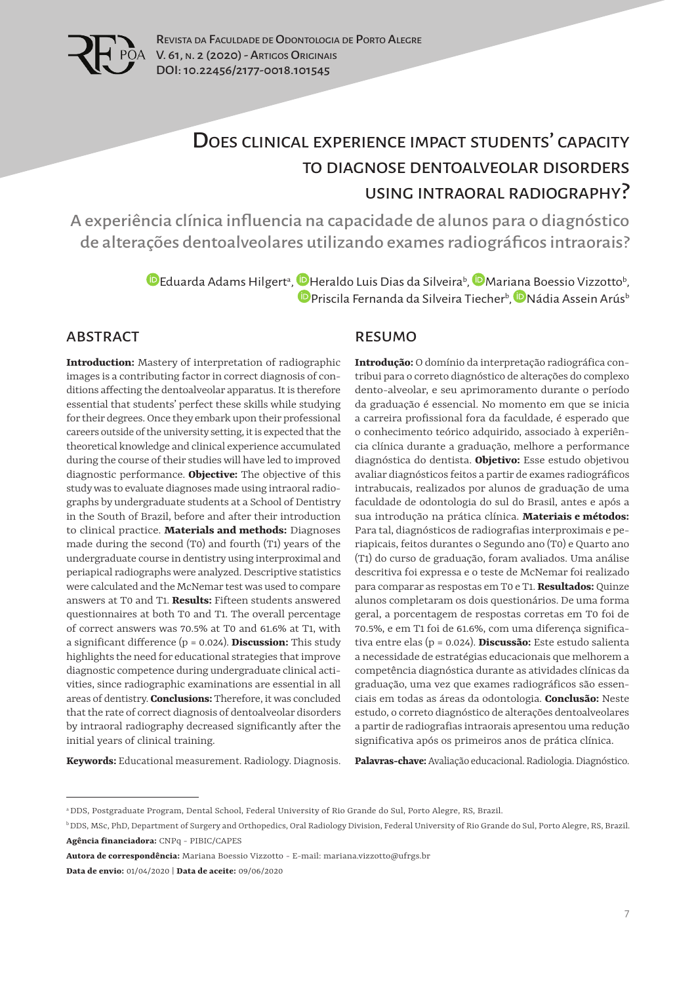

# Does clinical experience impact students' capacity to diagnose dentoalveolar disorders using intraoral radiography?

A experiência clínica influencia na capacidade de alunos para o diagnóstico de alterações dentoalveolares utilizando exames radiográficos intraorais?

> [E](https://orcid.org/0000-0001-7559-7233)duarda Adams Hilgert<sup>a</sup>, **D** Heraldo Luis Dias da Silveira<sup>b</sup>, D Mari[ana](https://orcid.org/0000-0001-7517-5188) Boessio Vizzotto<sup>b</sup>, [P](https://orcid.org/0000-0001-7015-5292)riscila Fernanda da Silveira Tiecher<sup>b</sup>, DNádia Assein Arús<sup>b</sup>

#### ABSTRACT

**Introduction:** Mastery of interpretation of radiographic images is a contributing factor in correct diagnosis of conditions affecting the dentoalveolar apparatus. It is therefore essential that students' perfect these skills while studying for their degrees. Once they embark upon their professional careers outside of the university setting, it is expected that the theoretical knowledge and clinical experience accumulated during the course of their studies will have led to improved diagnostic performance. **Objective:** The objective of this study was to evaluate diagnoses made using intraoral radiographs by undergraduate students at a School of Dentistry in the South of Brazil, before and after their introduction to clinical practice. **Materials and methods:** Diagnoses made during the second (T0) and fourth (T1) years of the undergraduate course in dentistry using interproximal and periapical radiographs were analyzed. Descriptive statistics were calculated and the McNemar test was used to compare answers at T0 and T1. **Results:** Fifteen students answered questionnaires at both T0 and T1. The overall percentage of correct answers was 70.5% at T0 and 61.6% at T1, with a significant difference (p = 0.024). **Discussion:** This study highlights the need for educational strategies that improve diagnostic competence during undergraduate clinical activities, since radiographic examinations are essential in all areas of dentistry. **Conclusions:** Therefore, it was concluded that the rate of correct diagnosis of dentoalveolar disorders by intraoral radiography decreased significantly after the initial years of clinical training.

#### RESUMO

**Introdução:** O domínio da interpretação radiográfica contribui para o correto diagnóstico de alterações do complexo dento-alveolar, e seu aprimoramento durante o período da graduação é essencial. No momento em que se inicia a carreira profissional fora da faculdade, é esperado que o conhecimento teórico adquirido, associado à experiência clínica durante a graduação, melhore a performance diagnóstica do dentista. **Objetivo:** Esse estudo objetivou avaliar diagnósticos feitos a partir de exames radiográficos intrabucais, realizados por alunos de graduação de uma faculdade de odontologia do sul do Brasil, antes e após a sua introdução na prática clínica. **Materiais e métodos:** Para tal, diagnósticos de radiografias interproximais e periapicais, feitos durantes o Segundo ano (T0) e Quarto ano (T1) do curso de graduação, foram avaliados. Uma análise descritiva foi expressa e o teste de McNemar foi realizado para comparar as respostas em T0 e T1. **Resultados:** Quinze alunos completaram os dois questionários. De uma forma geral, a porcentagem de respostas corretas em T0 foi de 70.5%, e em T1 foi de 61.6%, com uma diferença significativa entre elas (p = 0.024). **Discussão:** Este estudo salienta a necessidade de estratégias educacionais que melhorem a competência diagnóstica durante as atividades clínicas da graduação, uma vez que exames radiográficos são essenciais em todas as áreas da odontologia. **Conclusão:** Neste estudo, o correto diagnóstico de alterações dentoalveolares a partir de radiografias intraorais apresentou uma redução significativa após os primeiros anos de prática clínica.

**Keywords:** Educational measurement. Radiology. Diagnosis.

**Palavras-chave:** Avaliação educacional. Radiologia. Diagnóstico.

a DDS, Postgraduate Program, Dental School, Federal University of Rio Grande do Sul, Porto Alegre, RS, Brazil.

b DDS, MSc, PhD, Department of Surgery and Orthopedics, Oral Radiology Division, Federal University of Rio Grande do Sul, Porto Alegre, RS, Brazil. **Agência financiadora:** CNPq - PIBIC/CAPES

**Autora de correspondência:** Mariana Boessio Vizzotto - E-mail: mariana.vizzotto@ufrgs.br

**Data de envio:** 01/04/2020 | **Data de aceite:** 09/06/2020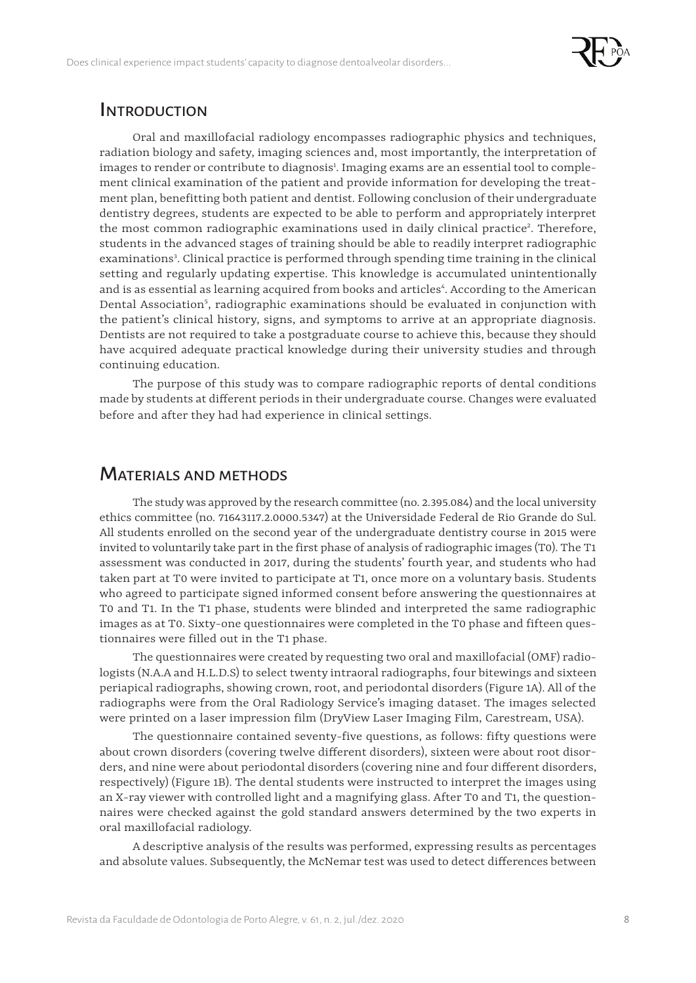

### **INTRODUCTION**

Oral and maxillofacial radiology encompasses radiographic physics and techniques, radiation biology and safety, imaging sciences and, most importantly, the interpretation of images to render or contribute to diagnosis<sup>1</sup>. Imaging exams are an essential tool to complement clinical examination of the patient and provide information for developing the treatment plan, benefitting both patient and dentist. Following conclusion of their undergraduate dentistry degrees, students are expected to be able to perform and appropriately interpret the most common radiographic examinations used in daily clinical practice<sup>2</sup>. Therefore, students in the advanced stages of training should be able to readily interpret radiographic examinations<sup>3</sup>. Clinical practice is performed through spending time training in the clinical setting and regularly updating expertise. This knowledge is accumulated unintentionally and is as essential as learning acquired from books and articles<sup>4</sup>. According to the American Dental Association<sup>5</sup>, radiographic examinations should be evaluated in conjunction with the patient's clinical history, signs, and symptoms to arrive at an appropriate diagnosis. Dentists are not required to take a postgraduate course to achieve this, because they should have acquired adequate practical knowledge during their university studies and through continuing education.

The purpose of this study was to compare radiographic reports of dental conditions made by students at different periods in their undergraduate course. Changes were evaluated before and after they had had experience in clinical settings.

### Materials and methods

The study was approved by the research committee (no. 2.395.084) and the local university ethics committee (no. 71643117.2.0000.5347) at the Universidade Federal de Rio Grande do Sul. All students enrolled on the second year of the undergraduate dentistry course in 2015 were invited to voluntarily take part in the first phase of analysis of radiographic images (T0). The T1 assessment was conducted in 2017, during the students' fourth year, and students who had taken part at T0 were invited to participate at T1, once more on a voluntary basis. Students who agreed to participate signed informed consent before answering the questionnaires at T0 and T1. In the T1 phase, students were blinded and interpreted the same radiographic images as at T0. Sixty-one questionnaires were completed in the T0 phase and fifteen questionnaires were filled out in the T1 phase.

The questionnaires were created by requesting two oral and maxillofacial (OMF) radiologists (N.A.A and H.L.D.S) to select twenty intraoral radiographs, four bitewings and sixteen periapical radiographs, showing crown, root, and periodontal disorders (Figure 1A). All of the radiographs were from the Oral Radiology Service's imaging dataset. The images selected were printed on a laser impression film (DryView Laser Imaging Film, Carestream, USA).

The questionnaire contained seventy-five questions, as follows: fifty questions were about crown disorders (covering twelve different disorders), sixteen were about root disorders, and nine were about periodontal disorders (covering nine and four different disorders, respectively) (Figure 1B). The dental students were instructed to interpret the images using an X-ray viewer with controlled light and a magnifying glass. After T0 and T1, the questionnaires were checked against the gold standard answers determined by the two experts in oral maxillofacial radiology.

A descriptive analysis of the results was performed, expressing results as percentages and absolute values. Subsequently, the McNemar test was used to detect differences between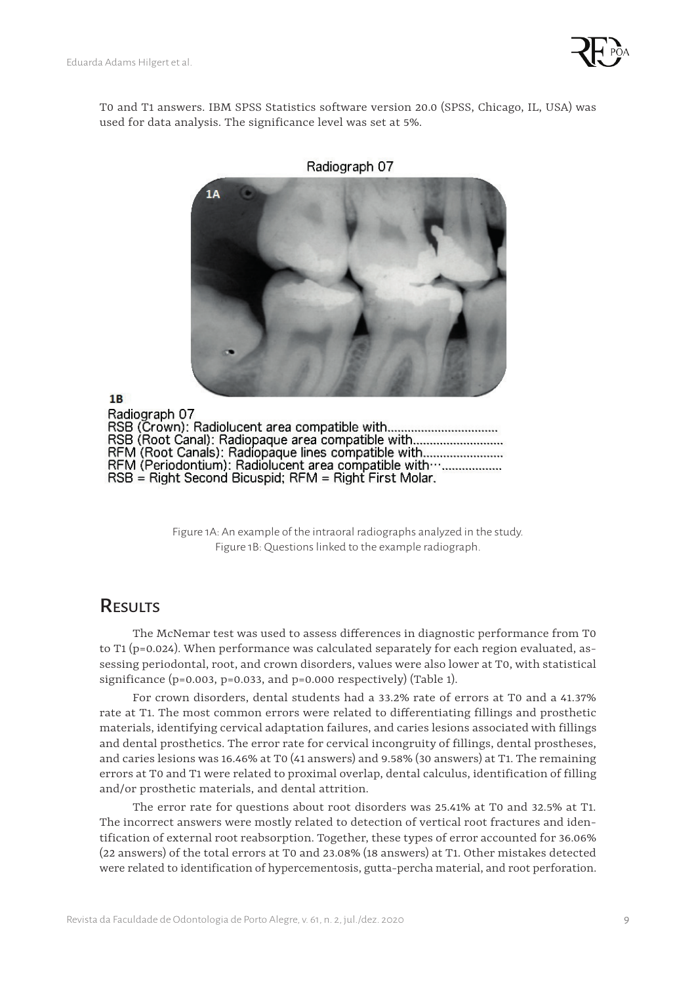

T0 and T1 answers. IBM SPSS Statistics software version 20.0 (SPSS, Chicago, IL, USA) was used for data analysis. The significance level was set at 5%.



 $1B$ Radiograph 07 RSB (Root Canal): Radiopaque area compatible with................................ RFM (Root Canals): Radiopaque lines compatible with.............................. RFM (Periodontium): Radiolucent area compatible with .................... RSB = Right Second Bicuspid; RFM = Right First Molar.

> Figure 1A: An example of the intraoral radiographs analyzed in the study. Figure 1B: Questions linked to the example radiograph.

# **RESULTS**

The McNemar test was used to assess differences in diagnostic performance from T0 to T1 (p=0.024). When performance was calculated separately for each region evaluated, assessing periodontal, root, and crown disorders, values were also lower at T0, with statistical significance  $(p=0.003, p=0.033,$  and  $p=0.000$  respectively) (Table 1).

For crown disorders, dental students had a 33.2% rate of errors at T0 and a 41.37% rate at T1. The most common errors were related to differentiating fillings and prosthetic materials, identifying cervical adaptation failures, and caries lesions associated with fillings and dental prosthetics. The error rate for cervical incongruity of fillings, dental prostheses, and caries lesions was 16.46% at T0 (41 answers) and 9.58% (30 answers) at T1. The remaining errors at T0 and T1 were related to proximal overlap, dental calculus, identification of filling and/or prosthetic materials, and dental attrition.

The error rate for questions about root disorders was 25.41% at T0 and 32.5% at T1. The incorrect answers were mostly related to detection of vertical root fractures and identification of external root reabsorption. Together, these types of error accounted for 36.06% (22 answers) of the total errors at T0 and 23.08% (18 answers) at T1. Other mistakes detected were related to identification of hypercementosis, gutta-percha material, and root perforation.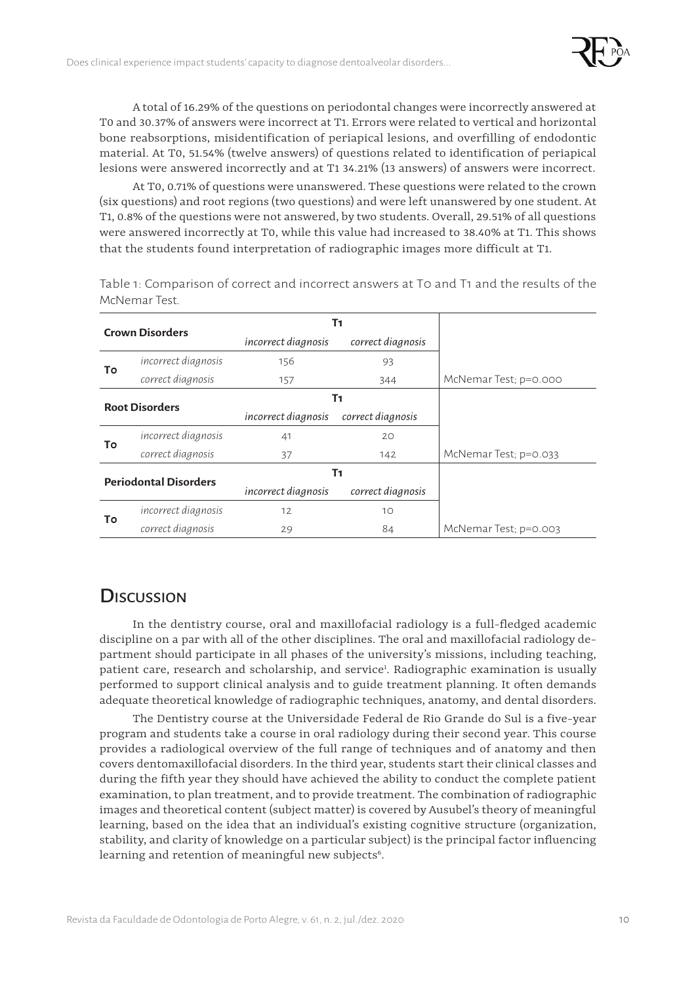

A total of 16.29% of the questions on periodontal changes were incorrectly answered at T0 and 30.37% of answers were incorrect at T1. Errors were related to vertical and horizontal bone reabsorptions, misidentification of periapical lesions, and overfilling of endodontic material. At T0, 51.54% (twelve answers) of questions related to identification of periapical lesions were answered incorrectly and at T1 34.21% (13 answers) of answers were incorrect.

At T0, 0.71% of questions were unanswered. These questions were related to the crown (six questions) and root regions (two questions) and were left unanswered by one student. At T1, 0.8% of the questions were not answered, by two students. Overall, 29.51% of all questions were answered incorrectly at T0, while this value had increased to 38.40% at T1. This shows that the students found interpretation of radiographic images more difficult at T1.

| <b>Crown Disorders</b>             |                     | Τ1                  |                   |                       |
|------------------------------------|---------------------|---------------------|-------------------|-----------------------|
|                                    |                     | incorrect diagnosis | correct diagnosis |                       |
| To                                 | incorrect diagnosis | 156                 | 93                |                       |
|                                    | correct diagnosis   | 157                 | 344               | McNemar Test; p=0.000 |
| T1<br><b>Root Disorders</b>        |                     |                     |                   |                       |
|                                    |                     | incorrect diagnosis | correct diagnosis |                       |
| To                                 | incorrect diagnosis | 41                  | 20                |                       |
|                                    | correct diagnosis   | 37                  | 142               | McNemar Test; p=0.033 |
| T1<br><b>Periodontal Disorders</b> |                     |                     |                   |                       |
|                                    |                     | incorrect diagnosis | correct diagnosis |                       |
| To                                 | incorrect diagnosis | 12                  | 10                |                       |
|                                    | correct diagnosis   | 29                  | 84                | McNemar Test; p=0.003 |

Table 1: Comparison of correct and incorrect answers at T0 and T1 and the results of the McNemar Test.

### **Discussion**

In the dentistry course, oral and maxillofacial radiology is a full-fledged academic discipline on a par with all of the other disciplines. The oral and maxillofacial radiology department should participate in all phases of the university's missions, including teaching, patient care, research and scholarship, and service<sup>1</sup>. Radiographic examination is usually performed to support clinical analysis and to guide treatment planning. It often demands adequate theoretical knowledge of radiographic techniques, anatomy, and dental disorders.

The Dentistry course at the Universidade Federal de Rio Grande do Sul is a five-year program and students take a course in oral radiology during their second year. This course provides a radiological overview of the full range of techniques and of anatomy and then covers dentomaxillofacial disorders. In the third year, students start their clinical classes and during the fifth year they should have achieved the ability to conduct the complete patient examination, to plan treatment, and to provide treatment. The combination of radiographic images and theoretical content (subject matter) is covered by Ausubel's theory of meaningful learning, based on the idea that an individual's existing cognitive structure (organization, stability, and clarity of knowledge on a particular subject) is the principal factor influencing learning and retention of meaningful new subjects<sup>6</sup>.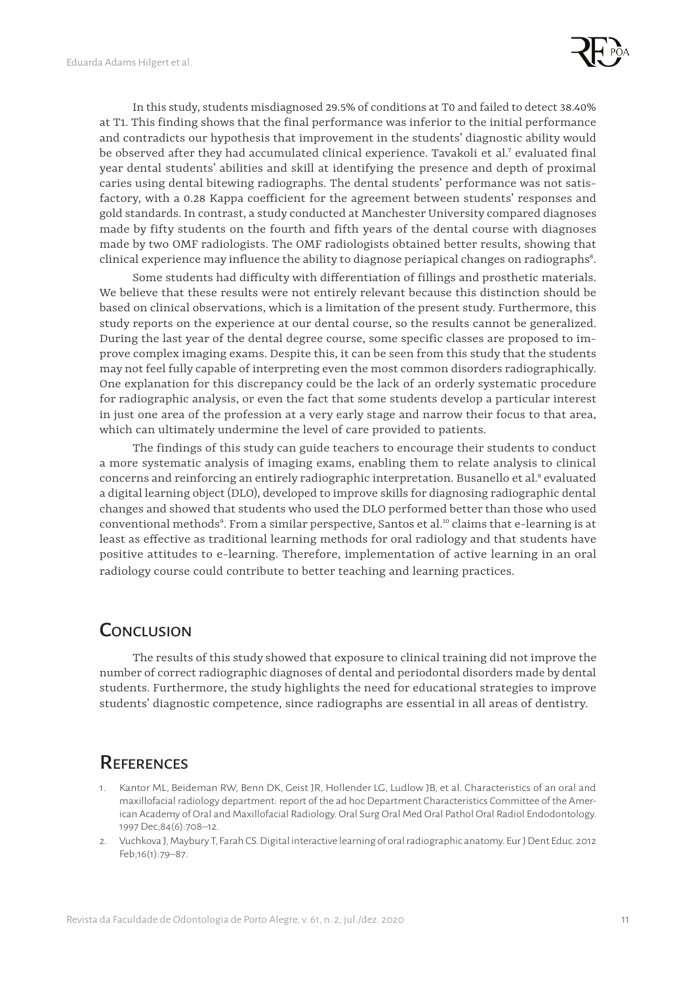

In this study, students misdiagnosed 29.5% of conditions at T0 and failed to detect 38.40% at T1. This finding shows that the final performance was inferior to the initial performance and contradicts our hypothesis that improvement in the students' diagnostic ability would be observed after they had accumulated clinical experience. Tavakoli et al.<sup>7</sup> evaluated final year dental students' abilities and skill at identifying the presence and depth of proximal caries using dental bitewing radiographs. The dental students' performance was not satisfactory, with a 0.28 Kappa coefficient for the agreement between students' responses and gold standards. In contrast, a study conducted at Manchester University compared diagnoses made by fifty students on the fourth and fifth years of the dental course with diagnoses made by two OMF radiologists. The OMF radiologists obtained better results, showing that clinical experience may influence the ability to diagnose periapical changes on radiographs $^{\rm 8}.$ 

Some students had difficulty with differentiation of fillings and prosthetic materials. We believe that these results were not entirely relevant because this distinction should be based on clinical observations, which is a limitation of the present study. Furthermore, this study reports on the experience at our dental course, so the results cannot be generalized. During the last year of the dental degree course, some specific classes are proposed to improve complex imaging exams. Despite this, it can be seen from this study that the students may not feel fully capable of interpreting even the most common disorders radiographically. One explanation for this discrepancy could be the lack of an orderly systematic procedure for radiographic analysis, or even the fact that some students develop a particular interest in just one area of the profession at a very early stage and narrow their focus to that area, which can ultimately undermine the level of care provided to patients.

The findings of this study can guide teachers to encourage their students to conduct a more systematic analysis of imaging exams, enabling them to relate analysis to clinical concerns and reinforcing an entirely radiographic interpretation. Busanello et al.<sup>9</sup> evaluated a digital learning object (DLO), developed to improve skills for diagnosing radiographic dental changes and showed that students who used the DLO performed better than those who used conventional methods<sup>9</sup>. From a similar perspective, Santos et al.<sup>10</sup> claims that e-learning is at least as effective as traditional learning methods for oral radiology and that students have positive attitudes to e-learning. Therefore, implementation of active learning in an oral radiology course could contribute to better teaching and learning practices.

### **CONCLUSION**

The results of this study showed that exposure to clinical training did not improve the number of correct radiographic diagnoses of dental and periodontal disorders made by dental students. Furthermore, the study highlights the need for educational strategies to improve students' diagnostic competence, since radiographs are essential in all areas of dentistry.

# **REFERENCES**

- 1. Kantor ML, Beideman RW, [Benn](https://creighton.pure.elsevier.com/en/persons/douglas-benn) DK, Geist JR, Hollender LG, Ludlow JB, et al. Characteristics of an oral and maxillofacial radiology department: report of the ad hoc Department Characteristics Committee of the American Academy of Oral and Maxillofacial Radiology. Oral Surg Oral Med Oral Pathol Oral Radiol Endodontology. 1997 Dec;84(6):708–12.
- 2. Vuchkova J, Maybury T, Farah CS. Digital interactive learning of oral radiographic anatomy. Eur J Dent Educ. 2012 Feb;16(1):79–87.